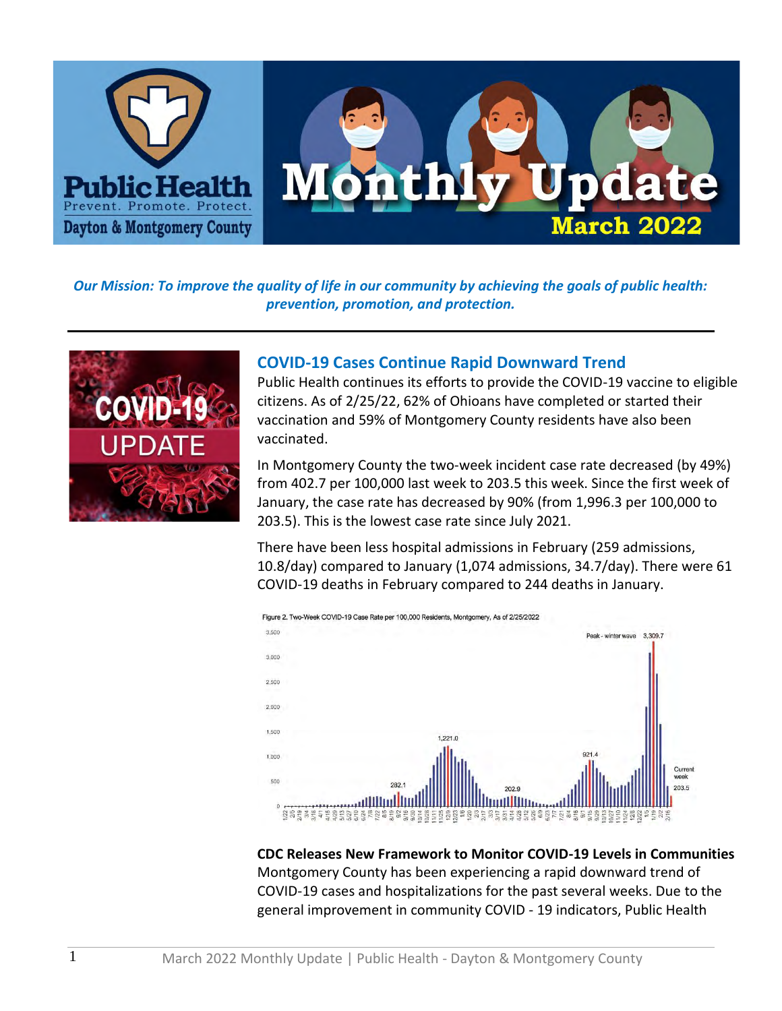

*Our Mission: To improve the quality of life in our community by achieving the goals of public health: prevention, promotion, and protection.*



## **COVID-19 Cases Continue Rapid Downward Trend**

Public Health continues its efforts to provide the COVID-19 vaccine to eligible citizens. As of 2/25/22, 62% of Ohioans have completed or started their vaccination and 59% of Montgomery County residents have also been vaccinated.

In Montgomery County the two-week incident case rate decreased (by 49%) from 402.7 per 100,000 last week to 203.5 this week. Since the first week of January, the case rate has decreased by 90% (from 1,996.3 per 100,000 to 203.5). This is the lowest case rate since July 2021.

There have been less hospital admissions in February (259 admissions, 10.8/day) compared to January (1,074 admissions, 34.7/day). There were 61 COVID-19 deaths in February compared to 244 deaths in January.



**CDC Releases New Framework to Monitor COVID-19 Levels in Communities** Montgomery County has been experiencing a rapid downward trend of COVID-19 cases and hospitalizations for the past several weeks. Due to the general improvement in community COVID - 19 indicators, Public Health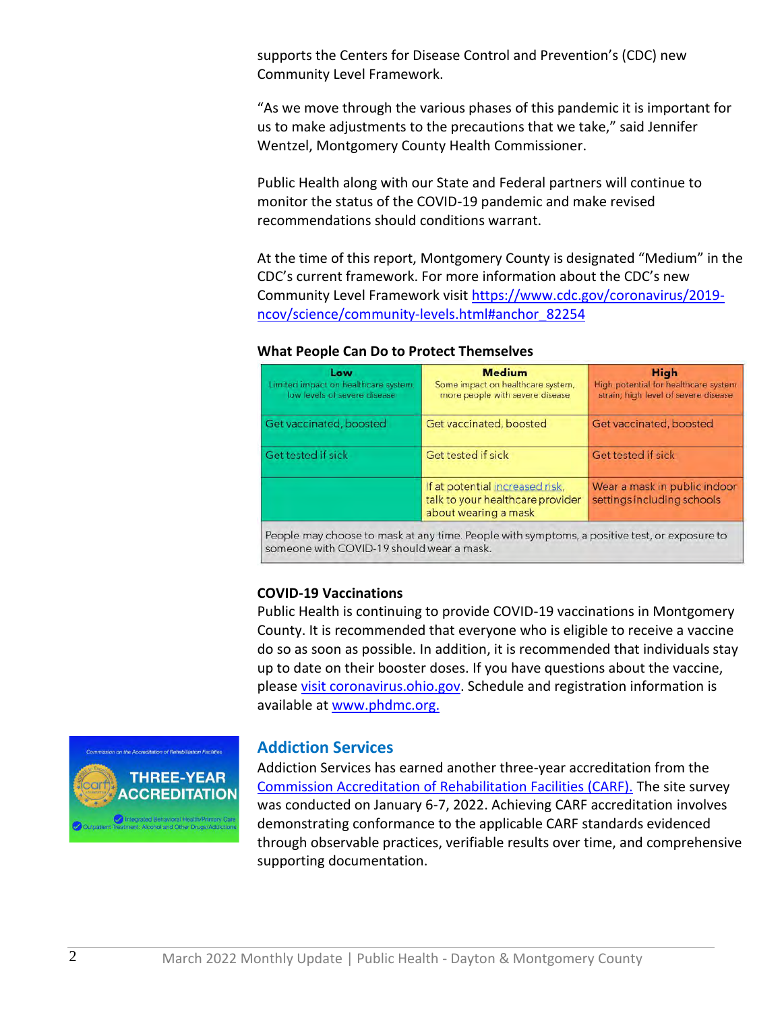supports the Centers for Disease Control and Prevention's (CDC) new Community Level Framework.

"As we move through the various phases of this pandemic it is important for us to make adjustments to the precautions that we take," said Jennifer Wentzel, Montgomery County Health Commissioner.

Public Health along with our State and Federal partners will continue to monitor the status of the COVID-19 pandemic and make revised recommendations should conditions warrant.

At the time of this report, Montgomery County is designated "Medium" in the CDC's current framework. For more information about the CDC's new Community Level Framework visit [https://www.cdc.gov/coronavirus/2019](https://www.cdc.gov/coronavirus/2019-ncov/science/community-levels.html#anchor_82254) [ncov/science/community-levels.html#anchor\\_82254](https://www.cdc.gov/coronavirus/2019-ncov/science/community-levels.html#anchor_82254)

#### **What People Can Do to Protect Themselves**

| Low<br>Limited impact on healthcare system,<br>low levels of severe disease | <b>Medium</b><br>Some impact on healthcare system,<br>more people with severe disease       | <b>High</b><br>High potential for healthcare system<br>strain; high level of severe disease |
|-----------------------------------------------------------------------------|---------------------------------------------------------------------------------------------|---------------------------------------------------------------------------------------------|
| Get vaccinated, boosted                                                     | Get vaccinated, boosted                                                                     | Get vaccinated, boosted                                                                     |
| Get tested if sick                                                          | Get tested if sick                                                                          | Get tested if sick                                                                          |
|                                                                             | If at potential increased risk,<br>talk to your healthcare provider<br>about wearing a mask | Wear a mask in public indoor<br>settings including schools                                  |

People may choose to mask at any time. People with symptoms, a positive test, or exposure to someone with COVID-19 should wear a mask.

#### **COVID-19 Vaccinations**

Public Health is continuing to provide COVID-19 vaccinations in Montgomery County. It is recommended that everyone who is eligible to receive a vaccine do so as soon as possible. In addition, it is recommended that individuals stay up to date on their booster doses. If you have questions about the vaccine, pleas[e visit coronavirus.ohio.gov.](https://nam10.safelinks.protection.outlook.com/?url=https%3A%2F%2Fcoronavirus.ohio.gov%2Fwps%2Fportal%2Fgov%2Fcovid-19%2Fcovid-19-vaccination-program%2Fcovid-19-vaccine-myths-vs-facts%2Fcovid-19-vaccine-myths-vs-facts&data=04%7C01%7Cjsteele%40phdmc.org%7Cf2add5469c754d7f0af408d9e273b206%7Cefedc9042baf4ad68c0ec0e87981f768%7C0%7C0%7C637789808797882744%7CUnknown%7CTWFpbGZsb3d8eyJWIjoiMC4wLjAwMDAiLCJQIjoiV2luMzIiLCJBTiI6Ik1haWwiLCJXVCI6Mn0%3D%7C3000&sdata=eYBpg0EwQYL1SE%2BmBD7JpA%2F%2FwMTkpVYX1LHD3haK5Ts%3D&reserved=0) Schedule and registration information is available at [www.phdmc.org.](https://nam10.safelinks.protection.outlook.com/?url=https%3A%2F%2Fpublichealthdmc-my.sharepoint.com%2Fpersonal%2Fdsuffoletto_phdmc_org%2FDocuments%2F2022%2FMonthly%2520Update%2Fwww.phdmc.org.&data=04%7C01%7Cjsteele%40phdmc.org%7Cf2add5469c754d7f0af408d9e273b206%7Cefedc9042baf4ad68c0ec0e87981f768%7C0%7C0%7C637789808797882744%7CUnknown%7CTWFpbGZsb3d8eyJWIjoiMC4wLjAwMDAiLCJQIjoiV2luMzIiLCJBTiI6Ik1haWwiLCJXVCI6Mn0%3D%7C3000&sdata=Lo2V8kPvpuybHWU6CjfZDmSzVTwZc6y0r91RCUtGLXk%3D&reserved=0)



#### **Addiction Services**

Addiction Services has earned another three-year accreditation from the [Commission Accreditation of Rehabilitation Facilities \(CARF\).](http://www.carf.org/home/) The site survey was conducted on January 6-7, 2022. Achieving CARF accreditation involves demonstrating conformance to the applicable CARF standards evidenced through observable practices, verifiable results over time, and comprehensive supporting documentation.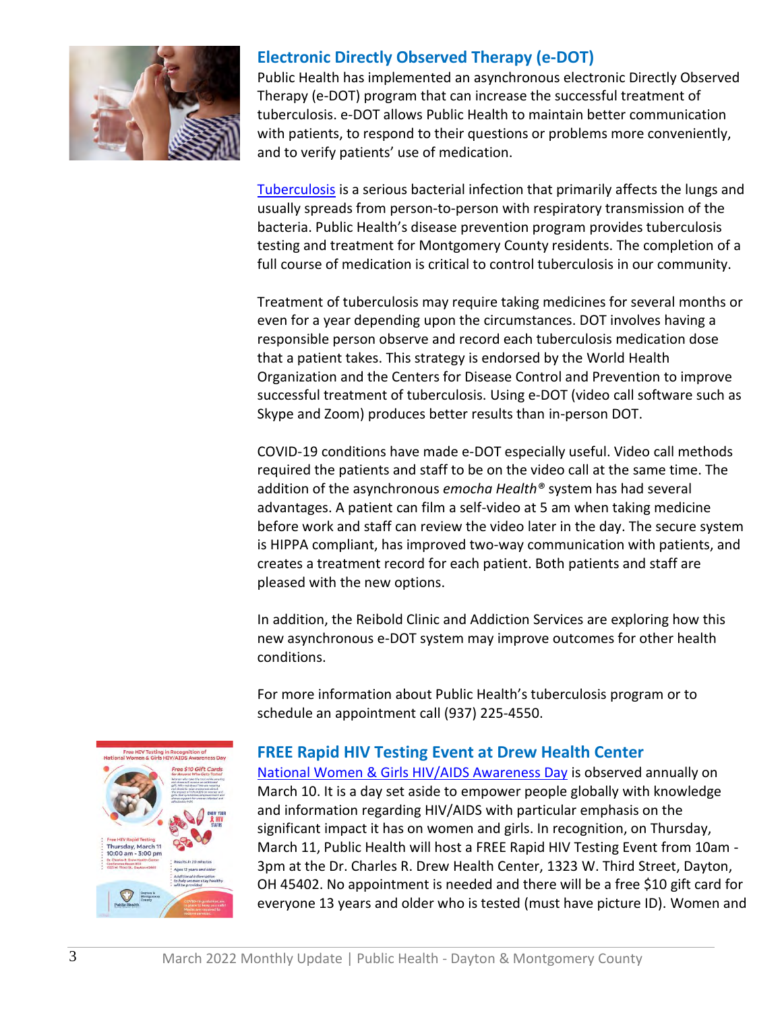

# **Electronic Directly Observed Therapy (e-DOT)**

Public Health has implemented an asynchronous electronic Directly Observed Therapy (e-DOT) program that can increase the successful treatment of tuberculosis. e-DOT allows Public Health to maintain better communication with patients, to respond to their questions or problems more conveniently, and to verify patients' use of medication.

[Tuberculosis](https://www.cdc.gov/tb/topic/basics/default.htm) is a serious bacterial infection that primarily affects the lungs and usually spreads from person-to-person with respiratory transmission of the bacteria. Public Health's disease prevention program provides tuberculosis testing and treatment for Montgomery County residents. The completion of a full course of medication is critical to control tuberculosis in our community.

Treatment of tuberculosis may require taking medicines for several months or even for a year depending upon the circumstances. DOT involves having a responsible person observe and record each tuberculosis medication dose that a patient takes. This strategy is endorsed by the World Health Organization and the Centers for Disease Control and Prevention to improve successful treatment of tuberculosis. Using e-DOT (video call software such as Skype and Zoom) produces better results than in-person DOT.

COVID-19 conditions have made e-DOT especially useful. Video call methods required the patients and staff to be on the video call at the same time. The addition of the asynchronous *emocha Health®* system has had several advantages. A patient can film a self-video at 5 am when taking medicine before work and staff can review the video later in the day. The secure system is HIPPA compliant, has improved two-way communication with patients, and creates a treatment record for each patient. Both patients and staff are pleased with the new options.

In addition, the Reibold Clinic and Addiction Services are exploring how this new asynchronous e-DOT system may improve outcomes for other health conditions.

For more information about Public Health's tuberculosis program or to schedule an appointment call (937) 225-4550.



# **FREE Rapid HIV Testing Event at Drew Health Center**

[National Women & Girls HIV/AIDS Awareness Day](https://www.cdc.gov/hiv/library/awareness/nwghaad.html) is observed annually on March 10. It is a day set aside to empower people globally with knowledge and information regarding HIV/AIDS with particular emphasis on the significant impact it has on women and girls. In recognition, on Thursday, March 11, Public Health will host a FREE Rapid HIV Testing Event from 10am - 3pm at the Dr. Charles R. Drew Health Center, 1323 W. Third Street, Dayton, OH 45402. No appointment is needed and there will be a free \$10 gift card for everyone 13 years and older who is tested (must have picture ID). Women and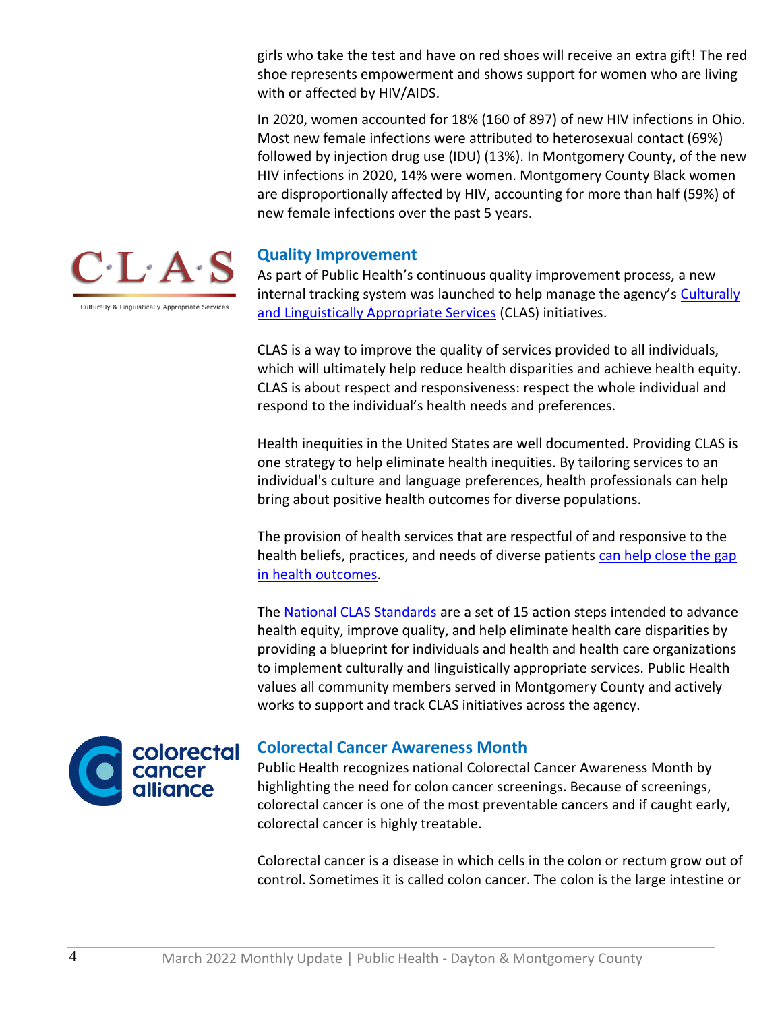girls who take the test and have on red shoes will receive an extra gift! The red shoe represents empowerment and shows support for women who are living with or affected by HIV/AIDS.

In 2020, women accounted for 18% (160 of 897) of new HIV infections in Ohio. Most new female infections were attributed to heterosexual contact (69%) followed by injection drug use (IDU) (13%). In Montgomery County, of the new HIV infections in 2020, 14% were women. Montgomery County Black women are disproportionally affected by HIV, accounting for more than half (59%) of new female infections over the past 5 years.

### **Quality Improvement**

As part of Public Health's continuous quality improvement process, a new internal tracking system was launched to help manage the agency's [Culturally](https://nam10.safelinks.protection.outlook.com/?url=https%3A%2F%2Fthinkculturalhealth.hhs.gov%2Fclas&data=04%7C01%7Cjsteele%40phdmc.org%7C17947f6baa2a42579aa708d9f86a927d%7Cefedc9042baf4ad68c0ec0e87981f768%7C0%7C0%7C637813958872367423%7CUnknown%7CTWFpbGZsb3d8eyJWIjoiMC4wLjAwMDAiLCJQIjoiV2luMzIiLCJBTiI6Ik1haWwiLCJXVCI6Mn0%3D%7C3000&sdata=HePl1vhvF2bKRJ05JKG3D8HjqLjbzy21qKA4CrB9Yh4%3D&reserved=0)  [and Linguistically Appropriate Services](https://nam10.safelinks.protection.outlook.com/?url=https%3A%2F%2Fthinkculturalhealth.hhs.gov%2Fclas&data=04%7C01%7Cjsteele%40phdmc.org%7C17947f6baa2a42579aa708d9f86a927d%7Cefedc9042baf4ad68c0ec0e87981f768%7C0%7C0%7C637813958872367423%7CUnknown%7CTWFpbGZsb3d8eyJWIjoiMC4wLjAwMDAiLCJQIjoiV2luMzIiLCJBTiI6Ik1haWwiLCJXVCI6Mn0%3D%7C3000&sdata=HePl1vhvF2bKRJ05JKG3D8HjqLjbzy21qKA4CrB9Yh4%3D&reserved=0) (CLAS) initiatives.

CLAS is a way to improve the quality of services provided to all individuals, which will ultimately help reduce health disparities and achieve health equity. CLAS is about respect and responsiveness: respect the whole individual and respond to the individual's health needs and preferences.

Health inequities in the United States are well documented. Providing CLAS is one strategy to help eliminate health inequities. By tailoring services to an individual's culture and language preferences, health professionals can help bring about positive health outcomes for diverse populations.

The provision of health services that are respectful of and responsive to the health beliefs, practices, and needs of diverse patients [can help close the gap](https://nam10.safelinks.protection.outlook.com/?url=https%3A%2F%2Fthinkculturalhealth.hhs.gov%2Fassets%2Fpdfs%2Fclass-infographic-what-why-how.pdf&data=04%7C01%7Cjsteele%40phdmc.org%7C17947f6baa2a42579aa708d9f86a927d%7Cefedc9042baf4ad68c0ec0e87981f768%7C0%7C0%7C637813958872367423%7CUnknown%7CTWFpbGZsb3d8eyJWIjoiMC4wLjAwMDAiLCJQIjoiV2luMzIiLCJBTiI6Ik1haWwiLCJXVCI6Mn0%3D%7C3000&sdata=hYw1IGUCFVEC%2BQXFUbDU4rciATlPrp4NBPTiiojsiAs%3D&reserved=0)  [in health outcomes.](https://nam10.safelinks.protection.outlook.com/?url=https%3A%2F%2Fthinkculturalhealth.hhs.gov%2Fassets%2Fpdfs%2Fclass-infographic-what-why-how.pdf&data=04%7C01%7Cjsteele%40phdmc.org%7C17947f6baa2a42579aa708d9f86a927d%7Cefedc9042baf4ad68c0ec0e87981f768%7C0%7C0%7C637813958872367423%7CUnknown%7CTWFpbGZsb3d8eyJWIjoiMC4wLjAwMDAiLCJQIjoiV2luMzIiLCJBTiI6Ik1haWwiLCJXVCI6Mn0%3D%7C3000&sdata=hYw1IGUCFVEC%2BQXFUbDU4rciATlPrp4NBPTiiojsiAs%3D&reserved=0)

The [National CLAS Standards](https://nam10.safelinks.protection.outlook.com/?url=https%3A%2F%2Fthinkculturalhealth.hhs.gov%2Fclas%2Fstandards&data=04%7C01%7Cjsteele%40phdmc.org%7C17947f6baa2a42579aa708d9f86a927d%7Cefedc9042baf4ad68c0ec0e87981f768%7C0%7C0%7C637813958872367423%7CUnknown%7CTWFpbGZsb3d8eyJWIjoiMC4wLjAwMDAiLCJQIjoiV2luMzIiLCJBTiI6Ik1haWwiLCJXVCI6Mn0%3D%7C3000&sdata=OtT6uqyaRgPLwOQcVBhOujAcqte%2Fisl5424HZyjALa4%3D&reserved=0) are a set of 15 action steps intended to advance health equity, improve quality, and help eliminate health care disparities by providing a blueprint for individuals and health and health care organizations to implement culturally and linguistically appropriate services. Public Health values all community members served in Montgomery County and actively works to support and track CLAS initiatives across the agency.



## **Colorectal Cancer Awareness Month**

Public Health recognizes national Colorectal Cancer Awareness Month by highlighting the need for colon cancer screenings. Because of screenings, colorectal cancer is one of the most preventable cancers and if caught early, colorectal cancer is highly treatable.

Colorectal cancer is a disease in which cells in the colon or rectum grow out of control. Sometimes it is called colon cancer. The colon is the large intestine or



Culturally & Linguistically Appropriate Servi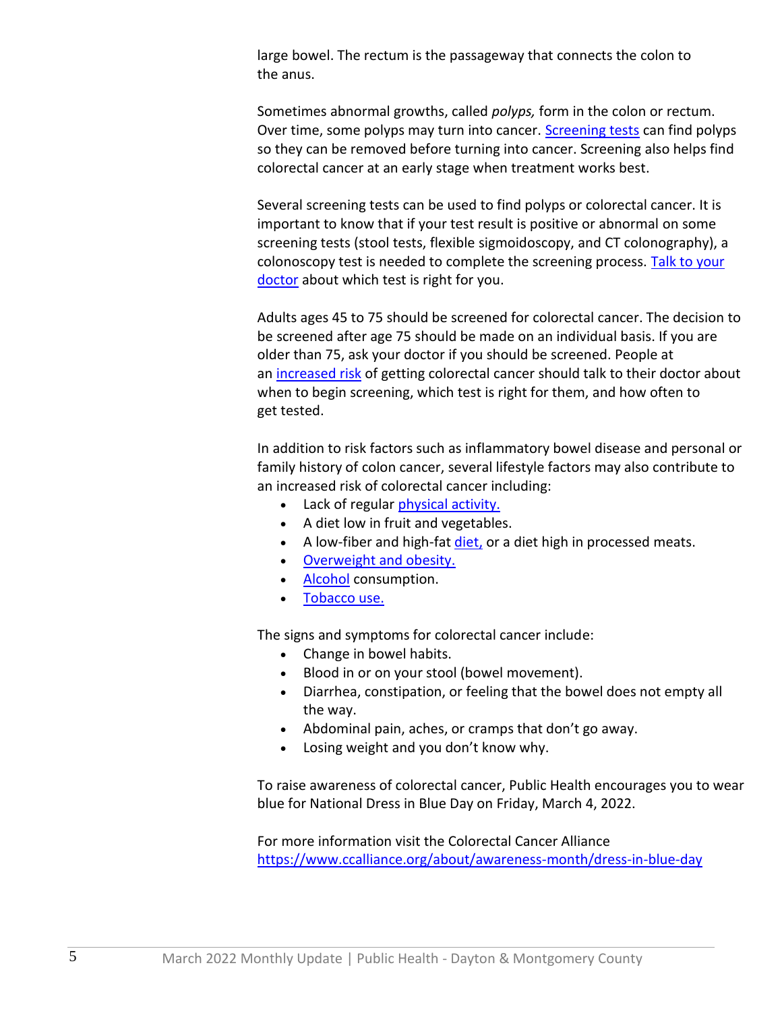large bowel. The rectum is the passageway that connects the colon to the anus.

Sometimes abnormal growths, called *polyps,* form in the colon or rectum. Over time, some polyps may turn into cancer. [Screening tests](https://nam10.safelinks.protection.outlook.com/?url=https%3A%2F%2Fwww.cdc.gov%2Fcancer%2Fcolorectal%2Fbasic_info%2Fscreening%2Ftests.htm&data=04%7C01%7Cjsteele%40phdmc.org%7C9741fd5cf21c42f24d2308d9f866e431%7Cefedc9042baf4ad68c0ec0e87981f768%7C0%7C0%7C637813943070101475%7CUnknown%7CTWFpbGZsb3d8eyJWIjoiMC4wLjAwMDAiLCJQIjoiV2luMzIiLCJBTiI6Ik1haWwiLCJXVCI6Mn0%3D%7C3000&sdata=E1oltKLeUbCy2JxZtBu7oPtsXtLljfgjp9QQejeYt2o%3D&reserved=0) can find polyps so they can be removed before turning into cancer. Screening also helps find colorectal cancer at an early stage when treatment works best.

Several screening tests can be used to find polyps or colorectal cancer. It is important to know that if your test result is positive or abnormal on some screening tests (stool tests, flexible sigmoidoscopy, and CT colonography), a colonoscopy test is needed to complete the screening process. [Talk to your](https://nam10.safelinks.protection.outlook.com/?url=https%3A%2F%2Fwww.cdc.gov%2Fcancer%2Fcolorectal%2Fbasic_info%2Fscreening%2Fquestions.htm&data=04%7C01%7Cjsteele%40phdmc.org%7C9741fd5cf21c42f24d2308d9f866e431%7Cefedc9042baf4ad68c0ec0e87981f768%7C0%7C0%7C637813943070101475%7CUnknown%7CTWFpbGZsb3d8eyJWIjoiMC4wLjAwMDAiLCJQIjoiV2luMzIiLCJBTiI6Ik1haWwiLCJXVCI6Mn0%3D%7C3000&sdata=QwWNr6ROPQAlfFtdI1RRYTS5jEK04S3CY8qBcg%2F3FS0%3D&reserved=0)  [doctor](https://nam10.safelinks.protection.outlook.com/?url=https%3A%2F%2Fwww.cdc.gov%2Fcancer%2Fcolorectal%2Fbasic_info%2Fscreening%2Fquestions.htm&data=04%7C01%7Cjsteele%40phdmc.org%7C9741fd5cf21c42f24d2308d9f866e431%7Cefedc9042baf4ad68c0ec0e87981f768%7C0%7C0%7C637813943070101475%7CUnknown%7CTWFpbGZsb3d8eyJWIjoiMC4wLjAwMDAiLCJQIjoiV2luMzIiLCJBTiI6Ik1haWwiLCJXVCI6Mn0%3D%7C3000&sdata=QwWNr6ROPQAlfFtdI1RRYTS5jEK04S3CY8qBcg%2F3FS0%3D&reserved=0) about which test is right for you.

Adults ages 45 to 75 should be screened for colorectal cancer. The decision to be screened after age 75 should be made on an individual basis. If you are older than 75, ask your doctor if you should be screened. People at an [increased risk](https://nam10.safelinks.protection.outlook.com/?url=https%3A%2F%2Fwww.cdc.gov%2Fcancer%2Fcolorectal%2Fbasic_info%2Frisk_factors.htm&data=04%7C01%7Cjsteele%40phdmc.org%7C9741fd5cf21c42f24d2308d9f866e431%7Cefedc9042baf4ad68c0ec0e87981f768%7C0%7C0%7C637813943070258139%7CUnknown%7CTWFpbGZsb3d8eyJWIjoiMC4wLjAwMDAiLCJQIjoiV2luMzIiLCJBTiI6Ik1haWwiLCJXVCI6Mn0%3D%7C3000&sdata=%2F2QFPXj92L0aI12%2BkkzLcEvkW9nAPDp79ligN%2FN8GfA%3D&reserved=0) of getting colorectal cancer should talk to their doctor about when to begin screening, which test is right for them, and how often to get tested.

In addition to risk factors such as inflammatory bowel disease and personal or family history of colon cancer, several lifestyle factors may also contribute to an increased risk of colorectal cancer including:

- Lack of regular *physical activity*.
- A diet low in fruit and vegetables.
- A low-fiber and high-fat [diet,](https://nam10.safelinks.protection.outlook.com/?url=https%3A%2F%2Fwww.cdc.gov%2Fnutrition%2F&data=04%7C01%7Cjsteele%40phdmc.org%7C9741fd5cf21c42f24d2308d9f866e431%7Cefedc9042baf4ad68c0ec0e87981f768%7C0%7C0%7C637813943070258139%7CUnknown%7CTWFpbGZsb3d8eyJWIjoiMC4wLjAwMDAiLCJQIjoiV2luMzIiLCJBTiI6Ik1haWwiLCJXVCI6Mn0%3D%7C3000&sdata=zXYzJZNVAilKBMQaLgotyRpTCf6MzaiAd0sTUkCBIKo%3D&reserved=0) or a diet high in processed meats.
- [Overweight and obesity.](https://nam10.safelinks.protection.outlook.com/?url=https%3A%2F%2Fwww.cdc.gov%2Fcancer%2Fobesity%2F&data=04%7C01%7Cjsteele%40phdmc.org%7C9741fd5cf21c42f24d2308d9f866e431%7Cefedc9042baf4ad68c0ec0e87981f768%7C0%7C0%7C637813943070258139%7CUnknown%7CTWFpbGZsb3d8eyJWIjoiMC4wLjAwMDAiLCJQIjoiV2luMzIiLCJBTiI6Ik1haWwiLCJXVCI6Mn0%3D%7C3000&sdata=InNpVX24tMDS3BlW01ZovQ7r%2BuODNtfEWO2BVx6vTOw%3D&reserved=0)
- [Alcohol](https://nam10.safelinks.protection.outlook.com/?url=https%3A%2F%2Fwww.cdc.gov%2Fcancer%2Falcohol%2F&data=04%7C01%7Cjsteele%40phdmc.org%7C9741fd5cf21c42f24d2308d9f866e431%7Cefedc9042baf4ad68c0ec0e87981f768%7C0%7C0%7C637813943070258139%7CUnknown%7CTWFpbGZsb3d8eyJWIjoiMC4wLjAwMDAiLCJQIjoiV2luMzIiLCJBTiI6Ik1haWwiLCJXVCI6Mn0%3D%7C3000&sdata=KNuKNBF5NvNI9sJkvwQSsxWz3hp051PHgJFOQLTUPtg%3D&reserved=0) consumption.
- [Tobacco use.](https://nam10.safelinks.protection.outlook.com/?url=https%3A%2F%2Fwww.cdc.gov%2Fcancer%2Ftobacco%2F&data=04%7C01%7Cjsteele%40phdmc.org%7C9741fd5cf21c42f24d2308d9f866e431%7Cefedc9042baf4ad68c0ec0e87981f768%7C0%7C0%7C637813943070258139%7CUnknown%7CTWFpbGZsb3d8eyJWIjoiMC4wLjAwMDAiLCJQIjoiV2luMzIiLCJBTiI6Ik1haWwiLCJXVCI6Mn0%3D%7C3000&sdata=YD73G1vt5pscQBzPpLPiZ2HUQLgcZWQtdS1MMy785DM%3D&reserved=0)

The signs and symptoms for colorectal cancer include:

- Change in bowel habits.
- Blood in or on your stool (bowel movement).
- Diarrhea, constipation, or feeling that the bowel does not empty all the way.
- Abdominal pain, aches, or cramps that don't go away.
- Losing weight and you don't know why.

To raise awareness of colorectal cancer, Public Health encourages you to wear blue for National Dress in Blue Day on Friday, March 4, 2022.

For more information visit the Colorectal Cancer Alliance [https://www.ccalliance.org/about/awareness-month/dress-in-blue-day](https://nam10.safelinks.protection.outlook.com/?url=https%3A%2F%2Fwww.ccalliance.org%2Fabout%2Fawareness-month%2Fdress-in-blue-day&data=04%7C01%7Cjsteele%40phdmc.org%7C9741fd5cf21c42f24d2308d9f866e431%7Cefedc9042baf4ad68c0ec0e87981f768%7C0%7C0%7C637813943070258139%7CUnknown%7CTWFpbGZsb3d8eyJWIjoiMC4wLjAwMDAiLCJQIjoiV2luMzIiLCJBTiI6Ik1haWwiLCJXVCI6Mn0%3D%7C3000&sdata=wsZKUGDKiYjp7Xfy5Bro097rCv0BkgvlWQtsvVcOfAA%3D&reserved=0)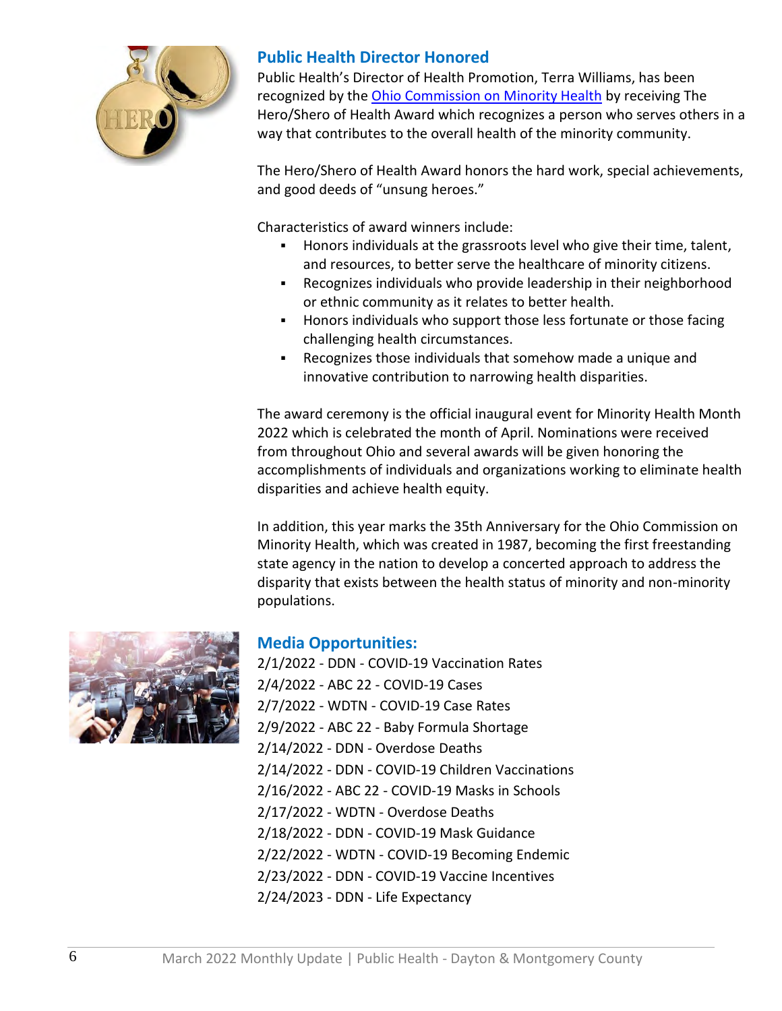

## **Public Health Director Honored**

Public Health's Director of Health Promotion, Terra Williams, has been recognized by the [Ohio Commission on Minority Health](https://mih.ohio.gov/) by receiving The Hero/Shero of Health Award which recognizes a person who serves others in a way that contributes to the overall health of the minority community.

The Hero/Shero of Health Award honors the hard work, special achievements, and good deeds of "unsung heroes."

Characteristics of award winners include:

- Honors individuals at the grassroots level who give their time, talent, and resources, to better serve the healthcare of minority citizens.
- Recognizes individuals who provide leadership in their neighborhood or ethnic community as it relates to better health.
- Honors individuals who support those less fortunate or those facing challenging health circumstances.
- Recognizes those individuals that somehow made a unique and innovative contribution to narrowing health disparities.

The award ceremony is the official inaugural event for Minority Health Month 2022 which is celebrated the month of April. Nominations were received from throughout Ohio and several awards will be given honoring the accomplishments of individuals and organizations working to eliminate health disparities and achieve health equity.

In addition, this year marks the 35th Anniversary for the Ohio Commission on Minority Health, which was created in 1987, becoming the first freestanding state agency in the nation to develop a concerted approach to address the disparity that exists between the health status of minority and non-minority populations.



# **Media Opportunities:**

2/1/2022 - DDN - COVID-19 Vaccination Rates 2/4/2022 - ABC 22 - COVID-19 Cases 2/7/2022 - WDTN - COVID-19 Case Rates 2/9/2022 - ABC 22 - Baby Formula Shortage 2/14/2022 - DDN - Overdose Deaths 2/14/2022 - DDN - COVID-19 Children Vaccinations 2/16/2022 - ABC 22 - COVID-19 Masks in Schools 2/17/2022 - WDTN - Overdose Deaths 2/18/2022 - DDN - COVID-19 Mask Guidance 2/22/2022 - WDTN - COVID-19 Becoming Endemic 2/23/2022 - DDN - COVID-19 Vaccine Incentives 2/24/2023 - DDN - Life Expectancy